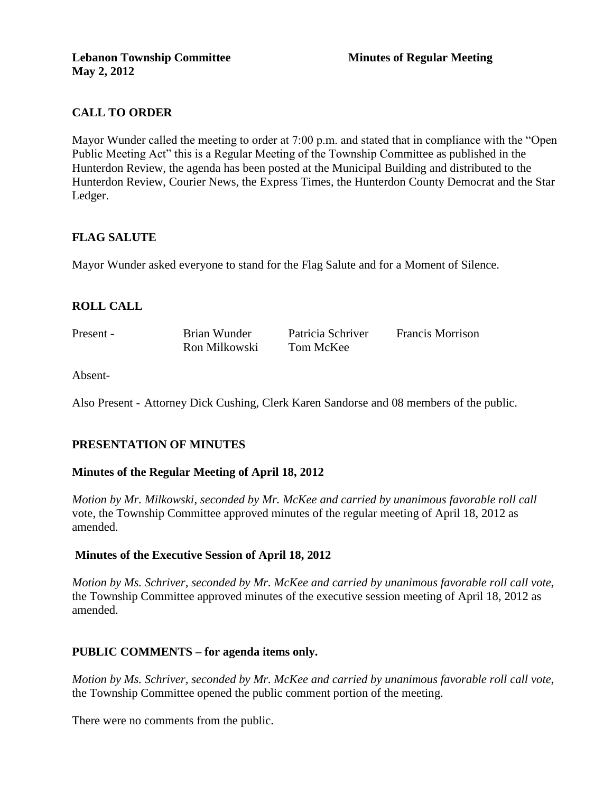# **CALL TO ORDER**

Mayor Wunder called the meeting to order at 7:00 p.m. and stated that in compliance with the "Open Public Meeting Act" this is a Regular Meeting of the Township Committee as published in the Hunterdon Review, the agenda has been posted at the Municipal Building and distributed to the Hunterdon Review, Courier News, the Express Times, the Hunterdon County Democrat and the Star Ledger.

# **FLAG SALUTE**

Mayor Wunder asked everyone to stand for the Flag Salute and for a Moment of Silence.

# **ROLL CALL**

Present - Brian Wunder Patricia Schriver Francis Morrison Ron Milkowski Tom McKee

Absent-

Also Present - Attorney Dick Cushing, Clerk Karen Sandorse and 08 members of the public.

# **PRESENTATION OF MINUTES**

#### **Minutes of the Regular Meeting of April 18, 2012**

*Motion by Mr. Milkowski, seconded by Mr. McKee and carried by unanimous favorable roll call*  vote, the Township Committee approved minutes of the regular meeting of April 18, 2012 as amended.

#### **Minutes of the Executive Session of April 18, 2012**

*Motion by Ms. Schriver, seconded by Mr. McKee and carried by unanimous favorable roll call vote,* the Township Committee approved minutes of the executive session meeting of April 18, 2012 as amended.

#### **PUBLIC COMMENTS – for agenda items only.**

*Motion by Ms. Schriver, seconded by Mr. McKee and carried by unanimous favorable roll call vote,* the Township Committee opened the public comment portion of the meeting.

There were no comments from the public.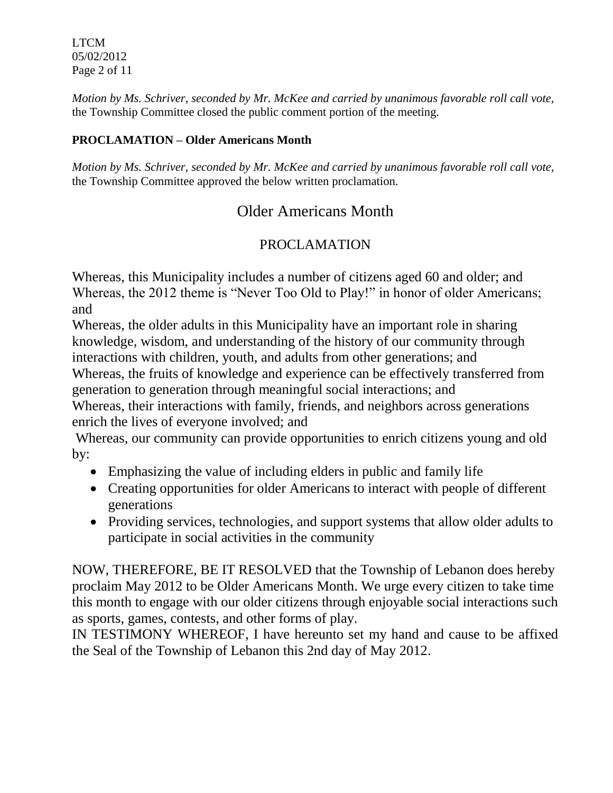LTCM 05/02/2012 Page 2 of 11

*Motion by Ms. Schriver, seconded by Mr. McKee and carried by unanimous favorable roll call vote,* the Township Committee closed the public comment portion of the meeting.

# **PROCLAMATION – Older Americans Month**

*Motion by Ms. Schriver, seconded by Mr. McKee and carried by unanimous favorable roll call vote,* the Township Committee approved the below written proclamation.

# Older Americans Month

# PROCLAMATION

Whereas, this Municipality includes a number of citizens aged 60 and older; and Whereas, the 2012 theme is "Never Too Old to Play!" in honor of older Americans; and

Whereas, the older adults in this Municipality have an important role in sharing knowledge, wisdom, and understanding of the history of our community through interactions with children, youth, and adults from other generations; and Whereas, the fruits of knowledge and experience can be effectively transferred from generation to generation through meaningful social interactions; and

Whereas, their interactions with family, friends, and neighbors across generations enrich the lives of everyone involved; and

Whereas, our community can provide opportunities to enrich citizens young and old by:

- Emphasizing the value of including elders in public and family life
- Creating opportunities for older Americans to interact with people of different generations
- Providing services, technologies, and support systems that allow older adults to participate in social activities in the community

NOW, THEREFORE, BE IT RESOLVED that the Township of Lebanon does hereby proclaim May 2012 to be Older Americans Month. We urge every citizen to take time this month to engage with our older citizens through enjoyable social interactions such as sports, games, contests, and other forms of play.

IN TESTIMONY WHEREOF, I have hereunto set my hand and cause to be affixed the Seal of the Township of Lebanon this 2nd day of May 2012.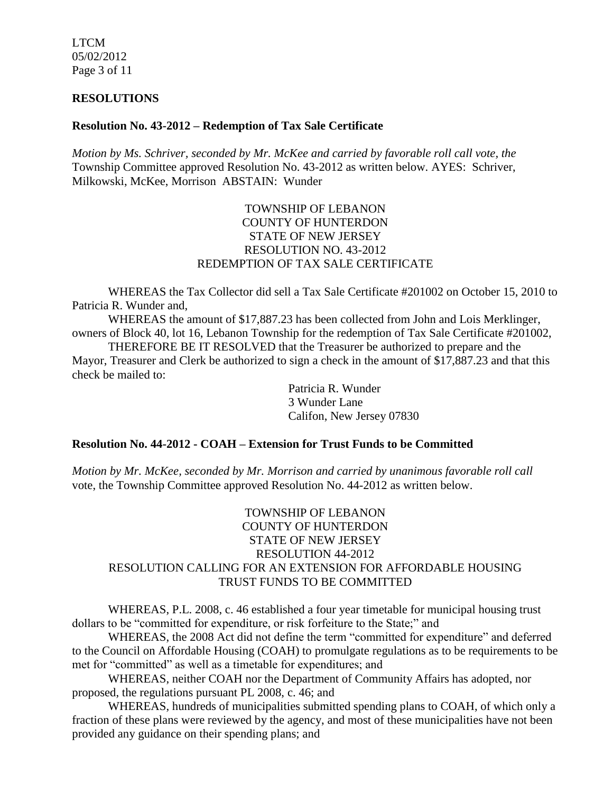LTCM 05/02/2012 Page 3 of 11

#### **RESOLUTIONS**

#### **Resolution No. 43-2012 – Redemption of Tax Sale Certificate**

*Motion by Ms. Schriver, seconded by Mr. McKee and carried by favorable roll call vote, the* Township Committee approved Resolution No. 43-2012 as written below. AYES: Schriver, Milkowski, McKee, Morrison ABSTAIN: Wunder

## TOWNSHIP OF LEBANON COUNTY OF HUNTERDON STATE OF NEW JERSEY RESOLUTION NO. 43-2012 REDEMPTION OF TAX SALE CERTIFICATE

WHEREAS the Tax Collector did sell a Tax Sale Certificate #201002 on October 15, 2010 to Patricia R. Wunder and,

WHEREAS the amount of \$17,887.23 has been collected from John and Lois Merklinger, owners of Block 40, lot 16, Lebanon Township for the redemption of Tax Sale Certificate #201002,

THEREFORE BE IT RESOLVED that the Treasurer be authorized to prepare and the Mayor, Treasurer and Clerk be authorized to sign a check in the amount of \$17,887.23 and that this check be mailed to:

> Patricia R. Wunder 3 Wunder Lane Califon, New Jersey 07830

#### **Resolution No. 44-2012 - COAH – Extension for Trust Funds to be Committed**

*Motion by Mr. McKee, seconded by Mr. Morrison and carried by unanimous favorable roll call*  vote, the Township Committee approved Resolution No. 44-2012 as written below.

## TOWNSHIP OF LEBANON COUNTY OF HUNTERDON STATE OF NEW JERSEY RESOLUTION 44-2012 RESOLUTION CALLING FOR AN EXTENSION FOR AFFORDABLE HOUSING TRUST FUNDS TO BE COMMITTED

WHEREAS, P.L. 2008, c. 46 established a four year timetable for municipal housing trust dollars to be "committed for expenditure, or risk forfeiture to the State;" and

WHEREAS, the 2008 Act did not define the term "committed for expenditure" and deferred to the Council on Affordable Housing (COAH) to promulgate regulations as to be requirements to be met for "committed" as well as a timetable for expenditures; and

WHEREAS, neither COAH nor the Department of Community Affairs has adopted, nor proposed, the regulations pursuant PL 2008, c. 46; and

WHEREAS, hundreds of municipalities submitted spending plans to COAH, of which only a fraction of these plans were reviewed by the agency, and most of these municipalities have not been provided any guidance on their spending plans; and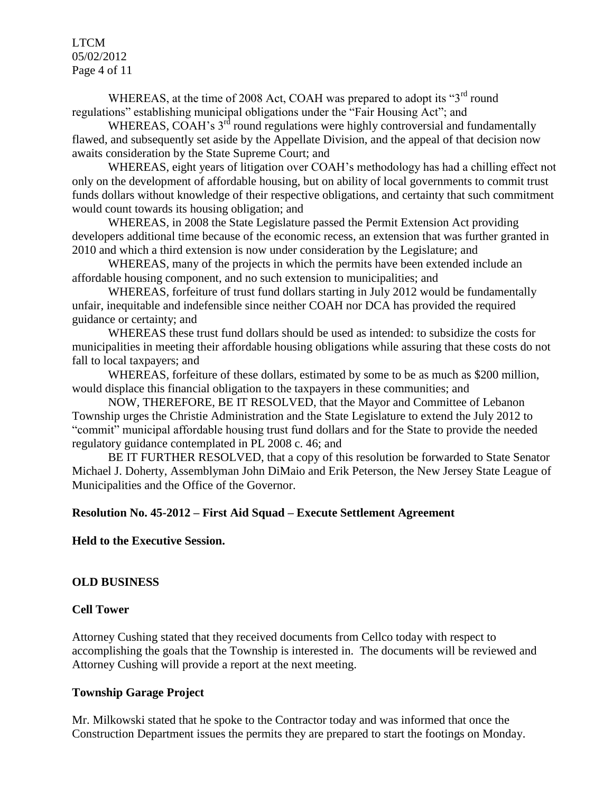LTCM 05/02/2012 Page 4 of 11

WHEREAS, at the time of 2008 Act, COAH was prepared to adopt its "3<sup>rd</sup> round" regulations" establishing municipal obligations under the "Fair Housing Act"; and

WHEREAS, COAH's 3<sup>rd</sup> round regulations were highly controversial and fundamentally flawed, and subsequently set aside by the Appellate Division, and the appeal of that decision now awaits consideration by the State Supreme Court; and

WHEREAS, eight years of litigation over COAH's methodology has had a chilling effect not only on the development of affordable housing, but on ability of local governments to commit trust funds dollars without knowledge of their respective obligations, and certainty that such commitment would count towards its housing obligation; and

WHEREAS, in 2008 the State Legislature passed the Permit Extension Act providing developers additional time because of the economic recess, an extension that was further granted in 2010 and which a third extension is now under consideration by the Legislature; and

WHEREAS, many of the projects in which the permits have been extended include an affordable housing component, and no such extension to municipalities; and

WHEREAS, forfeiture of trust fund dollars starting in July 2012 would be fundamentally unfair, inequitable and indefensible since neither COAH nor DCA has provided the required guidance or certainty; and

WHEREAS these trust fund dollars should be used as intended: to subsidize the costs for municipalities in meeting their affordable housing obligations while assuring that these costs do not fall to local taxpayers; and

WHEREAS, forfeiture of these dollars, estimated by some to be as much as \$200 million, would displace this financial obligation to the taxpayers in these communities; and

NOW, THEREFORE, BE IT RESOLVED, that the Mayor and Committee of Lebanon Township urges the Christie Administration and the State Legislature to extend the July 2012 to "commit" municipal affordable housing trust fund dollars and for the State to provide the needed regulatory guidance contemplated in PL 2008 c. 46; and

BE IT FURTHER RESOLVED, that a copy of this resolution be forwarded to State Senator Michael J. Doherty, Assemblyman John DiMaio and Erik Peterson, the New Jersey State League of Municipalities and the Office of the Governor.

#### **Resolution No. 45-2012 – First Aid Squad – Execute Settlement Agreement**

**Held to the Executive Session.**

#### **OLD BUSINESS**

#### **Cell Tower**

Attorney Cushing stated that they received documents from Cellco today with respect to accomplishing the goals that the Township is interested in. The documents will be reviewed and Attorney Cushing will provide a report at the next meeting.

#### **Township Garage Project**

Mr. Milkowski stated that he spoke to the Contractor today and was informed that once the Construction Department issues the permits they are prepared to start the footings on Monday.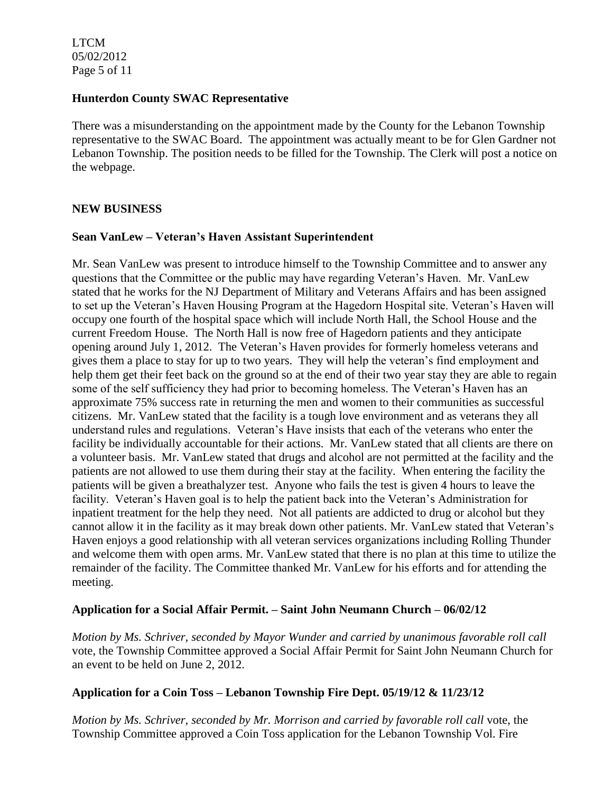LTCM 05/02/2012 Page 5 of 11

#### **Hunterdon County SWAC Representative**

There was a misunderstanding on the appointment made by the County for the Lebanon Township representative to the SWAC Board. The appointment was actually meant to be for Glen Gardner not Lebanon Township. The position needs to be filled for the Township. The Clerk will post a notice on the webpage.

#### **NEW BUSINESS**

#### **Sean VanLew – Veteran's Haven Assistant Superintendent**

Mr. Sean VanLew was present to introduce himself to the Township Committee and to answer any questions that the Committee or the public may have regarding Veteran's Haven. Mr. VanLew stated that he works for the NJ Department of Military and Veterans Affairs and has been assigned to set up the Veteran's Haven Housing Program at the Hagedorn Hospital site. Veteran's Haven will occupy one fourth of the hospital space which will include North Hall, the School House and the current Freedom House. The North Hall is now free of Hagedorn patients and they anticipate opening around July 1, 2012. The Veteran's Haven provides for formerly homeless veterans and gives them a place to stay for up to two years. They will help the veteran's find employment and help them get their feet back on the ground so at the end of their two year stay they are able to regain some of the self sufficiency they had prior to becoming homeless. The Veteran's Haven has an approximate 75% success rate in returning the men and women to their communities as successful citizens. Mr. VanLew stated that the facility is a tough love environment and as veterans they all understand rules and regulations. Veteran's Have insists that each of the veterans who enter the facility be individually accountable for their actions. Mr. VanLew stated that all clients are there on a volunteer basis. Mr. VanLew stated that drugs and alcohol are not permitted at the facility and the patients are not allowed to use them during their stay at the facility. When entering the facility the patients will be given a breathalyzer test. Anyone who fails the test is given 4 hours to leave the facility. Veteran's Haven goal is to help the patient back into the Veteran's Administration for inpatient treatment for the help they need. Not all patients are addicted to drug or alcohol but they cannot allow it in the facility as it may break down other patients. Mr. VanLew stated that Veteran's Haven enjoys a good relationship with all veteran services organizations including Rolling Thunder and welcome them with open arms. Mr. VanLew stated that there is no plan at this time to utilize the remainder of the facility. The Committee thanked Mr. VanLew for his efforts and for attending the meeting.

#### **Application for a Social Affair Permit. – Saint John Neumann Church – 06/02/12**

*Motion by Ms. Schriver, seconded by Mayor Wunder and carried by unanimous favorable roll call*  vote, the Township Committee approved a Social Affair Permit for Saint John Neumann Church for an event to be held on June 2, 2012.

#### **Application for a Coin Toss – Lebanon Township Fire Dept. 05/19/12 & 11/23/12**

*Motion by Ms. Schriver, seconded by Mr. Morrison and carried by favorable roll call* vote, the Township Committee approved a Coin Toss application for the Lebanon Township Vol. Fire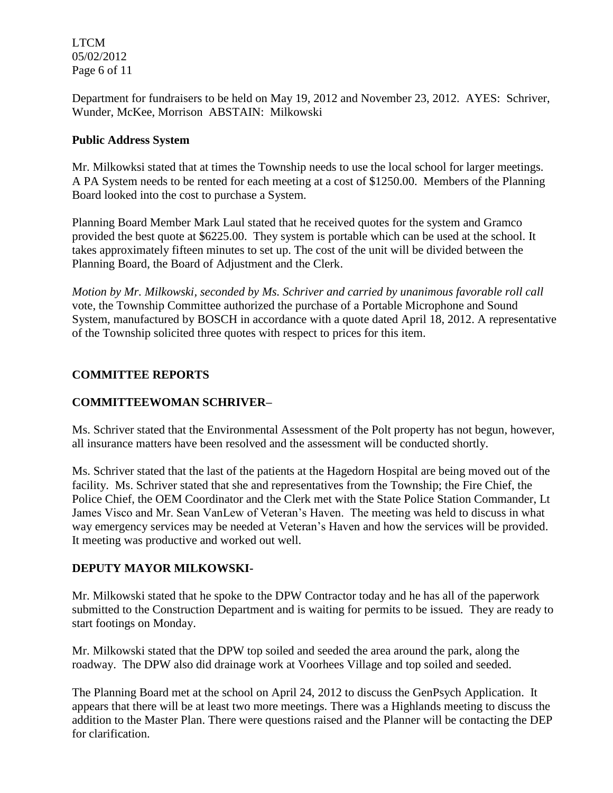LTCM 05/02/2012 Page 6 of 11

Department for fundraisers to be held on May 19, 2012 and November 23, 2012. AYES: Schriver, Wunder, McKee, Morrison ABSTAIN: Milkowski

## **Public Address System**

Mr. Milkowksi stated that at times the Township needs to use the local school for larger meetings. A PA System needs to be rented for each meeting at a cost of \$1250.00. Members of the Planning Board looked into the cost to purchase a System.

Planning Board Member Mark Laul stated that he received quotes for the system and Gramco provided the best quote at \$6225.00. They system is portable which can be used at the school. It takes approximately fifteen minutes to set up. The cost of the unit will be divided between the Planning Board, the Board of Adjustment and the Clerk.

*Motion by Mr. Milkowski, seconded by Ms. Schriver and carried by unanimous favorable roll call*  vote, the Township Committee authorized the purchase of a Portable Microphone and Sound System, manufactured by BOSCH in accordance with a quote dated April 18, 2012. A representative of the Township solicited three quotes with respect to prices for this item.

# **COMMITTEE REPORTS**

# **COMMITTEEWOMAN SCHRIVER–**

Ms. Schriver stated that the Environmental Assessment of the Polt property has not begun, however, all insurance matters have been resolved and the assessment will be conducted shortly.

Ms. Schriver stated that the last of the patients at the Hagedorn Hospital are being moved out of the facility. Ms. Schriver stated that she and representatives from the Township; the Fire Chief, the Police Chief, the OEM Coordinator and the Clerk met with the State Police Station Commander, Lt James Visco and Mr. Sean VanLew of Veteran's Haven. The meeting was held to discuss in what way emergency services may be needed at Veteran's Haven and how the services will be provided. It meeting was productive and worked out well.

# **DEPUTY MAYOR MILKOWSKI-**

Mr. Milkowski stated that he spoke to the DPW Contractor today and he has all of the paperwork submitted to the Construction Department and is waiting for permits to be issued. They are ready to start footings on Monday.

Mr. Milkowski stated that the DPW top soiled and seeded the area around the park, along the roadway. The DPW also did drainage work at Voorhees Village and top soiled and seeded.

The Planning Board met at the school on April 24, 2012 to discuss the GenPsych Application. It appears that there will be at least two more meetings. There was a Highlands meeting to discuss the addition to the Master Plan. There were questions raised and the Planner will be contacting the DEP for clarification.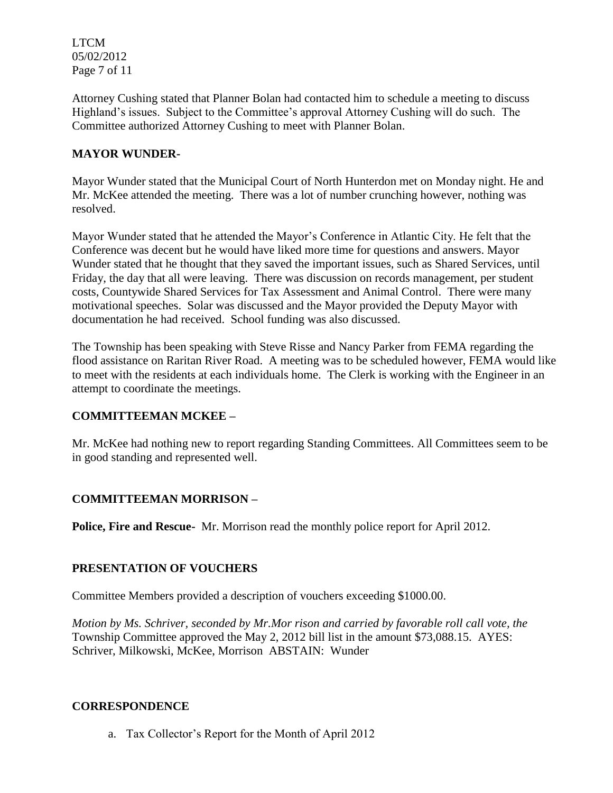LTCM 05/02/2012 Page 7 of 11

Attorney Cushing stated that Planner Bolan had contacted him to schedule a meeting to discuss Highland's issues. Subject to the Committee's approval Attorney Cushing will do such. The Committee authorized Attorney Cushing to meet with Planner Bolan.

# **MAYOR WUNDER-**

Mayor Wunder stated that the Municipal Court of North Hunterdon met on Monday night. He and Mr. McKee attended the meeting. There was a lot of number crunching however, nothing was resolved.

Mayor Wunder stated that he attended the Mayor's Conference in Atlantic City. He felt that the Conference was decent but he would have liked more time for questions and answers. Mayor Wunder stated that he thought that they saved the important issues, such as Shared Services, until Friday, the day that all were leaving. There was discussion on records management, per student costs, Countywide Shared Services for Tax Assessment and Animal Control. There were many motivational speeches. Solar was discussed and the Mayor provided the Deputy Mayor with documentation he had received. School funding was also discussed.

The Township has been speaking with Steve Risse and Nancy Parker from FEMA regarding the flood assistance on Raritan River Road. A meeting was to be scheduled however, FEMA would like to meet with the residents at each individuals home. The Clerk is working with the Engineer in an attempt to coordinate the meetings.

# **COMMITTEEMAN MCKEE –**

Mr. McKee had nothing new to report regarding Standing Committees. All Committees seem to be in good standing and represented well.

# **COMMITTEEMAN MORRISON –**

**Police, Fire and Rescue-** Mr. Morrison read the monthly police report for April 2012.

#### **PRESENTATION OF VOUCHERS**

Committee Members provided a description of vouchers exceeding \$1000.00.

*Motion by Ms. Schriver, seconded by Mr.Mor rison and carried by favorable roll call vote, the* Township Committee approved the May 2, 2012 bill list in the amount \$73,088.15. AYES: Schriver, Milkowski, McKee, Morrison ABSTAIN: Wunder

#### **CORRESPONDENCE**

a. Tax Collector's Report for the Month of April 2012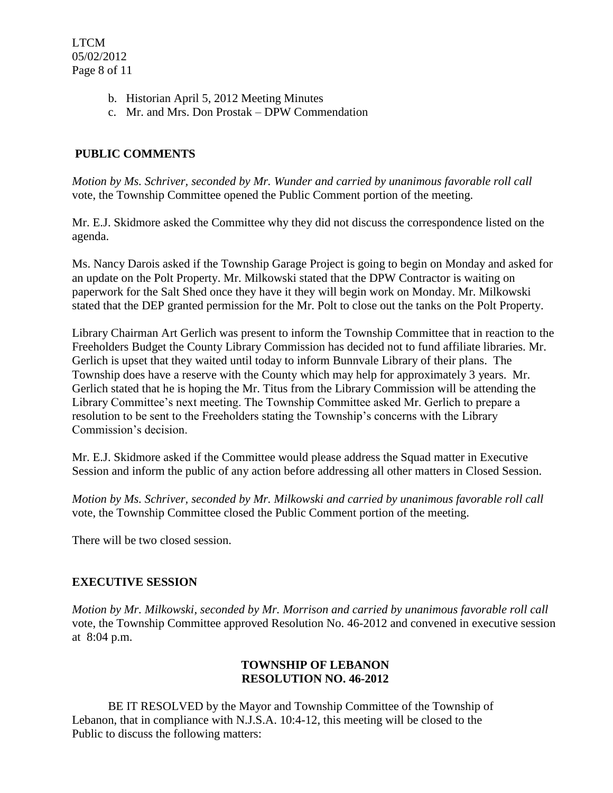- b. Historian April 5, 2012 Meeting Minutes
- c. Mr. and Mrs. Don Prostak DPW Commendation

# **PUBLIC COMMENTS**

*Motion by Ms. Schriver, seconded by Mr. Wunder and carried by unanimous favorable roll call*  vote, the Township Committee opened the Public Comment portion of the meeting.

Mr. E.J. Skidmore asked the Committee why they did not discuss the correspondence listed on the agenda.

Ms. Nancy Darois asked if the Township Garage Project is going to begin on Monday and asked for an update on the Polt Property. Mr. Milkowski stated that the DPW Contractor is waiting on paperwork for the Salt Shed once they have it they will begin work on Monday. Mr. Milkowski stated that the DEP granted permission for the Mr. Polt to close out the tanks on the Polt Property.

Library Chairman Art Gerlich was present to inform the Township Committee that in reaction to the Freeholders Budget the County Library Commission has decided not to fund affiliate libraries. Mr. Gerlich is upset that they waited until today to inform Bunnvale Library of their plans. The Township does have a reserve with the County which may help for approximately 3 years. Mr. Gerlich stated that he is hoping the Mr. Titus from the Library Commission will be attending the Library Committee's next meeting. The Township Committee asked Mr. Gerlich to prepare a resolution to be sent to the Freeholders stating the Township's concerns with the Library Commission's decision.

Mr. E.J. Skidmore asked if the Committee would please address the Squad matter in Executive Session and inform the public of any action before addressing all other matters in Closed Session.

*Motion by Ms. Schriver, seconded by Mr. Milkowski and carried by unanimous favorable roll call*  vote, the Township Committee closed the Public Comment portion of the meeting.

There will be two closed session.

# **EXECUTIVE SESSION**

*Motion by Mr. Milkowski, seconded by Mr. Morrison and carried by unanimous favorable roll call*  vote, the Township Committee approved Resolution No. 46-2012 and convened in executive session at 8:04 p.m.

## **TOWNSHIP OF LEBANON RESOLUTION NO. 46-2012**

BE IT RESOLVED by the Mayor and Township Committee of the Township of Lebanon, that in compliance with N.J.S.A. 10:4-12, this meeting will be closed to the Public to discuss the following matters: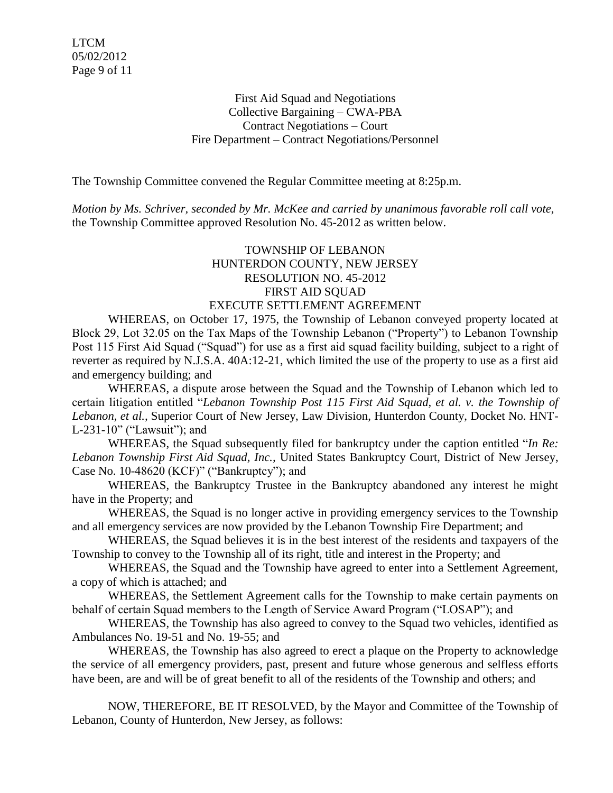First Aid Squad and Negotiations Collective Bargaining – CWA-PBA Contract Negotiations – Court Fire Department – Contract Negotiations/Personnel

The Township Committee convened the Regular Committee meeting at 8:25p.m.

*Motion by Ms. Schriver, seconded by Mr. McKee and carried by unanimous favorable roll call vote*, the Township Committee approved Resolution No. 45-2012 as written below.

#### TOWNSHIP OF LEBANON HUNTERDON COUNTY, NEW JERSEY RESOLUTION NO. 45-2012 FIRST AID SQUAD EXECUTE SETTLEMENT AGREEMENT

WHEREAS, on October 17, 1975, the Township of Lebanon conveyed property located at Block 29, Lot 32.05 on the Tax Maps of the Township Lebanon ("Property") to Lebanon Township Post 115 First Aid Squad ("Squad") for use as a first aid squad facility building, subject to a right of reverter as required by N.J.S.A. 40A:12-21, which limited the use of the property to use as a first aid and emergency building; and

WHEREAS, a dispute arose between the Squad and the Township of Lebanon which led to certain litigation entitled "*Lebanon Township Post 115 First Aid Squad, et al. v. the Township of Lebanon, et al.,* Superior Court of New Jersey, Law Division, Hunterdon County, Docket No. HNT-L-231-10" ("Lawsuit"); and

WHEREAS, the Squad subsequently filed for bankruptcy under the caption entitled "*In Re: Lebanon Township First Aid Squad, Inc.,* United States Bankruptcy Court, District of New Jersey, Case No. 10-48620 (KCF)" ("Bankruptcy"); and

WHEREAS, the Bankruptcy Trustee in the Bankruptcy abandoned any interest he might have in the Property; and

WHEREAS, the Squad is no longer active in providing emergency services to the Township and all emergency services are now provided by the Lebanon Township Fire Department; and

WHEREAS, the Squad believes it is in the best interest of the residents and taxpayers of the Township to convey to the Township all of its right, title and interest in the Property; and

WHEREAS, the Squad and the Township have agreed to enter into a Settlement Agreement, a copy of which is attached; and

WHEREAS, the Settlement Agreement calls for the Township to make certain payments on behalf of certain Squad members to the Length of Service Award Program ("LOSAP"); and

WHEREAS, the Township has also agreed to convey to the Squad two vehicles, identified as Ambulances No. 19-51 and No. 19-55; and

WHEREAS, the Township has also agreed to erect a plaque on the Property to acknowledge the service of all emergency providers, past, present and future whose generous and selfless efforts have been, are and will be of great benefit to all of the residents of the Township and others; and

NOW, THEREFORE, BE IT RESOLVED, by the Mayor and Committee of the Township of Lebanon, County of Hunterdon, New Jersey, as follows: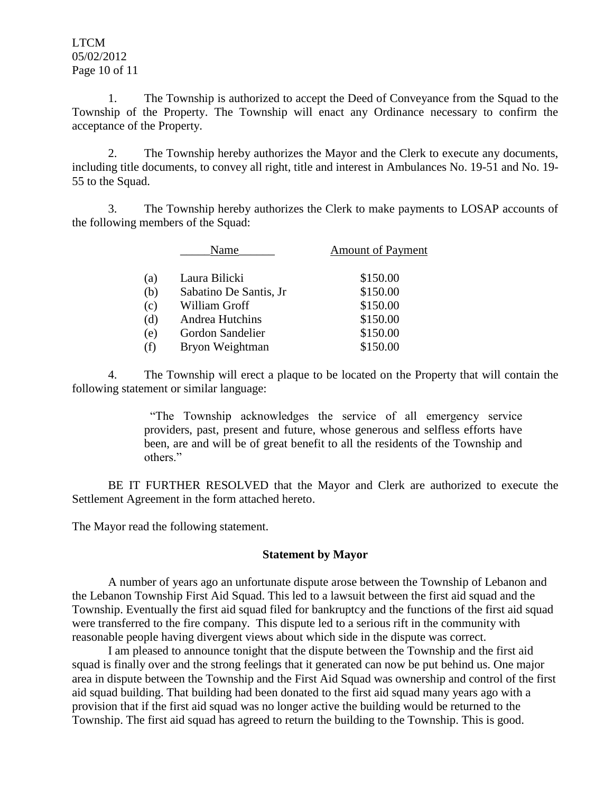LTCM 05/02/2012 Page 10 of 11

1. The Township is authorized to accept the Deed of Conveyance from the Squad to the Township of the Property. The Township will enact any Ordinance necessary to confirm the acceptance of the Property.

2. The Township hereby authorizes the Mayor and the Clerk to execute any documents, including title documents, to convey all right, title and interest in Ambulances No. 19-51 and No. 19- 55 to the Squad.

3. The Township hereby authorizes the Clerk to make payments to LOSAP accounts of the following members of the Squad:

|     | Name                    | <b>Amount of Payment</b> |
|-----|-------------------------|--------------------------|
| (a) | Laura Bilicki           | \$150.00                 |
| (b) | Sabatino De Santis, Jr. | \$150.00                 |
| (c) | William Groff           | \$150.00                 |
| (d) | Andrea Hutchins         | \$150.00                 |
| (e) | Gordon Sandelier        | \$150.00                 |
| (f) | Bryon Weightman         | \$150.00                 |
|     |                         |                          |

4. The Township will erect a plaque to be located on the Property that will contain the following statement or similar language:

> "The Township acknowledges the service of all emergency service providers, past, present and future, whose generous and selfless efforts have been, are and will be of great benefit to all the residents of the Township and others."

BE IT FURTHER RESOLVED that the Mayor and Clerk are authorized to execute the Settlement Agreement in the form attached hereto.

The Mayor read the following statement.

#### **Statement by Mayor**

A number of years ago an unfortunate dispute arose between the Township of Lebanon and the Lebanon Township First Aid Squad. This led to a lawsuit between the first aid squad and the Township. Eventually the first aid squad filed for bankruptcy and the functions of the first aid squad were transferred to the fire company. This dispute led to a serious rift in the community with reasonable people having divergent views about which side in the dispute was correct.

I am pleased to announce tonight that the dispute between the Township and the first aid squad is finally over and the strong feelings that it generated can now be put behind us. One major area in dispute between the Township and the First Aid Squad was ownership and control of the first aid squad building. That building had been donated to the first aid squad many years ago with a provision that if the first aid squad was no longer active the building would be returned to the Township. The first aid squad has agreed to return the building to the Township. This is good.